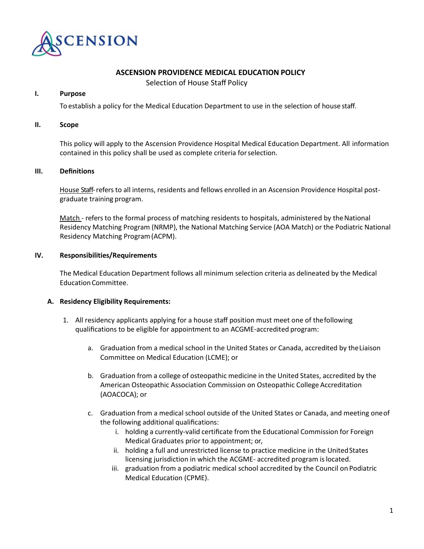

# **ASCENSION PROVIDENCE MEDICAL EDUCATION POLICY**

Selection of House Staff Policy

#### **I. Purpose**

To establish a policy for the Medical Education Department to use in the selection of house staff.

#### **II. Scope**

This policy will apply to the Ascension Providence Hospital Medical Education Department. All information contained in this policy shall be used as complete criteria forselection.

#### **III. Definitions**

House Staff-refers to all interns, residents and fellows enrolled in an Ascension Providence Hospital postgraduate training program.

Match - refers to the formal process of matching residents to hospitals, administered by the National Residency Matching Program (NRMP), the National Matching Service (AOA Match) or the Podiatric National Residency Matching Program(ACPM).

## **IV. Responsibilities/Requirements**

The Medical Education Department follows all minimum selection criteria as delineated by the Medical EducationCommittee.

## **A. Residency Eligibility Requirements:**

- 1. All residency applicants applying for a house staff position must meet one of thefollowing qualifications to be eligible for appointment to an ACGME-accredited program:
	- a. Graduation from a medical school in the United States or Canada, accredited by theLiaison Committee on Medical Education (LCME); or
	- b. Graduation from a college of osteopathic medicine in the United States, accredited by the American Osteopathic Association Commission on Osteopathic College Accreditation (AOACOCA); or
	- c. Graduation from a medical school outside of the United States or Canada, and meeting oneof the following additional qualifications:
		- i. holding a currently-valid certificate from the Educational Commission for Foreign Medical Graduates prior to appointment; or,
		- ii. holding a full and unrestricted license to practice medicine in the United States licensing jurisdiction in which the ACGME- accredited program islocated.
		- iii. graduation from a podiatric medical school accredited by the Council on Podiatric Medical Education (CPME).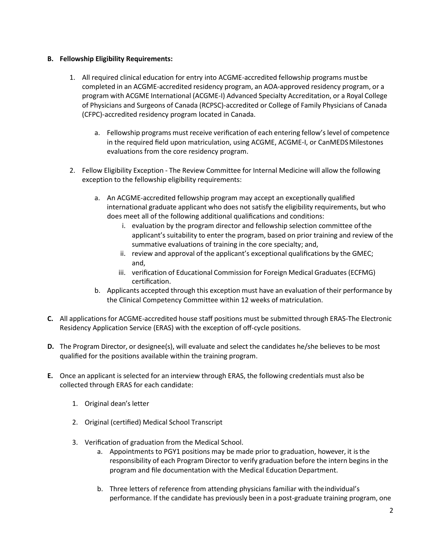# **B. Fellowship Eligibility Requirements:**

- 1. All required clinical education for entry into ACGME-accredited fellowship programs mustbe completed in an ACGME-accredited residency program, an AOA-approved residency program, or a program with ACGME International (ACGME-I) Advanced Specialty Accreditation, or a Royal College of Physicians and Surgeons of Canada (RCPSC)-accredited or College of Family Physicians of Canada (CFPC)-accredited residency program located in Canada.
	- a. Fellowship programs must receive verification of each entering fellow's level of competence in the required field upon matriculation, using ACGME, ACGME-I, or CanMEDSMilestones evaluations from the core residency program.
- 2. Fellow Eligibility Exception The Review Committee for Internal Medicine will allow the following exception to the fellowship eligibility requirements:
	- a. An ACGME-accredited fellowship program may accept an exceptionally qualified international graduate applicant who does not satisfy the eligibility requirements, but who does meet all of the following additional qualifications and conditions:
		- i. evaluation by the program director and fellowship selection committee ofthe applicant's suitability to enter the program, based on prior training and review of the summative evaluations of training in the core specialty; and,
		- ii. review and approval of the applicant's exceptional qualifications by the GMEC; and,
		- iii. verification of Educational Commission for Foreign Medical Graduates (ECFMG) certification.
	- b. Applicants accepted through this exception must have an evaluation of their performance by the Clinical Competency Committee within 12 weeks of matriculation.
- **C.** All applications for ACGME-accredited house staff positions must be submitted through ERAS-The Electronic Residency Application Service (ERAS) with the exception of off-cycle positions.
- **D.** The Program Director, or designee(s), will evaluate and select the candidates he/she believes to be most qualified for the positions available within the training program.
- **E.** Once an applicant is selected for an interview through ERAS, the following credentials must also be collected through ERAS for each candidate:
	- 1. Original dean's letter
	- 2. Original (certified) Medical School Transcript
	- 3. Verification of graduation from the Medical School.
		- a. Appointments to PGY1 positions may be made prior to graduation, however, it isthe responsibility of each Program Director to verify graduation before the intern begins in the program and file documentation with the Medical Education Department.
		- b. Three letters of reference from attending physicians familiar with theindividual's performance. If the candidate has previously been in a post-graduate training program, one